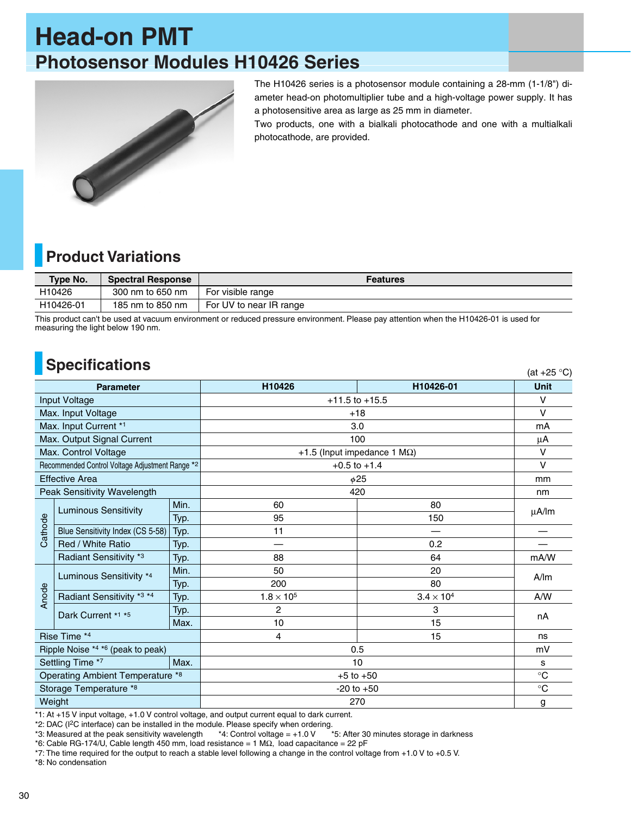# **Head-on PMT Photosensor Modules H10426 Series**



The H10426 series is a photosensor module containing a 28-mm (1-1/8") diameter head-on photomultiplier tube and a high-voltage power supply. It has a photosensitive area as large as 25 mm in diameter.

Two products, one with a bialkali photocathode and one with a multialkali photocathode, are provided.

 $(at +25°)$ 

### **Product Variations**

| Type No.               | <b>Spectral Response</b> | <b>Features</b>         |
|------------------------|--------------------------|-------------------------|
| H10426                 | 300 nm to 650 nm         | For visible range       |
| H <sub>10426</sub> -01 | 185 nm to 850 nm         | For UV to near IR range |

This product can't be used at vacuum environment or reduced pressure environment. Please pay attention when the H10426-01 is used for measuring the light below 190 nm.

### **Specifications**

| <b>Parameter</b>                  |      | H10426                                                                                      | H10426-01         | <b>Unit</b> |
|-----------------------------------|------|---------------------------------------------------------------------------------------------|-------------------|-------------|
| Input Voltage                     |      | $+11.5$ to $+15.5$                                                                          |                   | $\vee$      |
| Max. Input Voltage                |      | $+18$                                                                                       |                   | $\vee$      |
| Max. Input Current *1             |      | 3.0                                                                                         |                   | mA          |
| Max. Output Signal Current        |      | 100                                                                                         |                   | μA          |
| Max. Control Voltage              |      | +1.5 (Input impedance 1 $M\Omega$ )                                                         |                   | $\vee$      |
|                                   |      | $+0.5$ to $+1.4$                                                                            |                   | $\vee$      |
| <b>Effective Area</b>             |      | $\phi$ 25                                                                                   |                   | mm          |
| Peak Sensitivity Wavelength       |      | 420                                                                                         |                   | nm          |
| <b>Luminous Sensitivity</b>       | Min. | 60                                                                                          | 80                | μA/lm       |
|                                   | Typ. | 95                                                                                          | 150               |             |
| Blue Sensitivity Index (CS 5-58)  | Typ. | 11                                                                                          |                   |             |
| Red / White Ratio                 | Typ. |                                                                                             | 0.2               |             |
| Radiant Sensitivity *3            | Typ. | 88                                                                                          | 64                | mA/W        |
| Luminous Sensitivity *4           | Min. | 50                                                                                          | 20                | A/m         |
|                                   | Typ. | 200                                                                                         | 80                |             |
| Radiant Sensitivity *3 *4         | Typ. | $1.8 \times 10^5$                                                                           | $3.4 \times 10^4$ | A/W         |
| Dark Current *1 *5                | Typ. | 2                                                                                           | 3                 | nA          |
|                                   | Max. | 10                                                                                          | 15                |             |
| Rise Time *4                      |      | $\overline{4}$                                                                              | 15                | ns          |
| Ripple Noise *4 *6 (peak to peak) |      | 0.5                                                                                         |                   | mV          |
| Settling Time *7                  |      | 10                                                                                          |                   | s           |
|                                   |      | $+5$ to $+50$                                                                               |                   | $\circ$ C   |
| Storage Temperature *8            |      | $-20$ to $+50$                                                                              |                   | $\circ$ C   |
| Weight                            |      | 270                                                                                         |                   | g           |
|                                   |      | Recommended Control Voltage Adjustment Range *2<br>Max.<br>Operating Ambient Temperature *8 |                   |             |

\*1: At +15 V input voltage, +1.0 V control voltage, and output current equal to dark current.

\*2: DAC (I2C interface) can be installed in the module. Please specify when ordering.

\*3: Measured at the peak sensitivity wavelength \*4: Control voltage = +1.0 V \*5: After 30 minutes storage in darkness

\*6: Cable RG-174/U, Cable length 450 mm, load resistance = 1 M $\Omega$ , load capacitance = 22 pF

\*7: The time required for the output to reach a stable level following a change in the control voltage from +1.0 V to +0.5 V.

\*8: No condensation